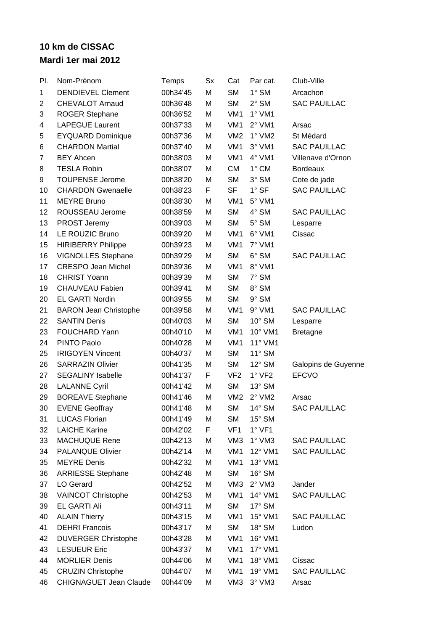## **10 km de CISSAC Mardi 1er mai 2012**

| PI. | Nom-Prénom                    | Temps    | Sx | Cat             | Par cat.        | Club-Ville          |
|-----|-------------------------------|----------|----|-----------------|-----------------|---------------------|
| 1   | <b>DENDIEVEL Clement</b>      | 00h34'45 | M  | <b>SM</b>       | $1^\circ$ SM    | Arcachon            |
| 2   | <b>CHEVALOT Arnaud</b>        | 00h36'48 | Μ  | SM              | $2^{\circ}$ SM  | <b>SAC PAUILLAC</b> |
| 3   | <b>ROGER Stephane</b>         | 00h36'52 | Μ  | VM <sub>1</sub> | $1°$ VM1        |                     |
| 4   | <b>LAPEGUE Laurent</b>        | 00h37'33 | Μ  | VM <sub>1</sub> | $2°$ VM1        | Arsac               |
| 5   | <b>EYQUARD Dominique</b>      | 00h37'36 | Μ  | VM <sub>2</sub> | $1°$ VM2        | St Médard           |
| 6   | <b>CHARDON Martial</b>        | 00h37'40 | M  | VM <sub>1</sub> | $3°$ VM1        | <b>SAC PAUILLAC</b> |
| 7   | <b>BEY Ahcen</b>              | 00h38'03 | Μ  | VM <sub>1</sub> | 4° VM1          | Villenave d'Ornon   |
| 8   | <b>TESLA Robin</b>            | 00h38'07 | Μ  | <b>CM</b>       | 1° CM           | <b>Bordeaux</b>     |
| 9   | <b>TOUPENSE Jerome</b>        | 00h38'20 | Μ  | <b>SM</b>       | 3° SM           | Cote de jade        |
| 10  | <b>CHARDON Gwenaelle</b>      | 00h38'23 | F  | <b>SF</b>       | $1^\circ$ SF    | <b>SAC PAUILLAC</b> |
| 11  | <b>MEYRE Bruno</b>            | 00h38'30 | M  | VM <sub>1</sub> | $5^{\circ}$ VM1 |                     |
| 12  | ROUSSEAU Jerome               | 00h38'59 | Μ  | <b>SM</b>       | 4° SM           | <b>SAC PAUILLAC</b> |
| 13  | PROST Jeremy                  | 00h39'03 | Μ  | <b>SM</b>       | $5^\circ$ SM    | Lesparre            |
| 14  | <b>LE ROUZIC Bruno</b>        | 00h39'20 | Μ  | VM <sub>1</sub> | 6° VM1          | Cissac              |
| 15  | <b>HIRIBERRY Philippe</b>     | 00h39'23 | Μ  | VM <sub>1</sub> | 7° VM1          |                     |
| 16  | VIGNOLLES Stephane            | 00h39'29 | M  | <b>SM</b>       | $6^\circ$ SM    | <b>SAC PAUILLAC</b> |
| 17  | <b>CRESPO Jean Michel</b>     | 00h39'36 | Μ  | VM <sub>1</sub> | 8° VM1          |                     |
| 18  | <b>CHRIST Yoann</b>           | 00h39'39 | Μ  | <b>SM</b>       | 7° SM           |                     |
| 19  | <b>CHAUVEAU Fabien</b>        | 00h39'41 | M  | <b>SM</b>       | 8° SM           |                     |
| 20  | <b>EL GARTI Nordin</b>        | 00h39'55 | M  | <b>SM</b>       | $9°$ SM         |                     |
| 21  | <b>BARON Jean Christophe</b>  | 00h39'58 | Μ  | VM <sub>1</sub> | $9°$ VM1        | <b>SAC PAUILLAC</b> |
| 22  | <b>SANTIN Denis</b>           | 00h40'03 | Μ  | <b>SM</b>       | $10^{\circ}$ SM | Lesparre            |
| 23  | <b>FOUCHARD Yann</b>          | 00h40'10 | M  | VM <sub>1</sub> | 10° VM1         | <b>Bretagne</b>     |
| 24  | PINTO Paolo                   | 00h40'28 | Μ  | VM <sub>1</sub> | 11° VM1         |                     |
| 25  | <b>IRIGOYEN Vincent</b>       | 00h40'37 | Μ  | <b>SM</b>       | $11^\circ$ SM   |                     |
| 26  | <b>SARRAZIN Olivier</b>       | 00h41'35 | Μ  | <b>SM</b>       | $12^{\circ}$ SM | Galopins de Guyenne |
| 27  | <b>SEGALINY Isabelle</b>      | 00h41'37 | F  | VF <sub>2</sub> | $1°$ VF2        | <b>EFCVO</b>        |
| 28  | <b>LALANNE Cyril</b>          | 00h41'42 | Μ  | <b>SM</b>       | $13^\circ$ SM   |                     |
| 29  | <b>BOREAVE Stephane</b>       | 00h41'46 | Μ  | VM <sub>2</sub> | $2°$ VM2        | Arsac               |
| 30  | <b>EVENE Geoffray</b>         | 00h41'48 | Μ  | <b>SM</b>       | $14^\circ$ SM   | <b>SAC PAUILLAC</b> |
| 31  | <b>LUCAS Florian</b>          | 00h41'49 | Μ  | <b>SM</b>       | $15^\circ$ SM   |                     |
| 32  | <b>LAICHE Karine</b>          | 00h42'02 | F  | VF <sub>1</sub> | $1^\circ$ VF1   |                     |
| 33  | MACHUQUE Rene                 | 00h42'13 | Μ  | VM <sub>3</sub> | $1^\circ$ VM3   | <b>SAC PAUILLAC</b> |
| 34  | <b>PALANQUE Olivier</b>       | 00h42'14 | Μ  | VM <sub>1</sub> | 12° VM1         | <b>SAC PAUILLAC</b> |
| 35  | <b>MEYRE</b> Denis            | 00h42'32 | M  | VM1             | 13° VM1         |                     |
| 36  | <b>ARRIESSE Stephane</b>      | 00h42'48 | Μ  | SM              | $16^\circ$ SM   |                     |
| 37  | LO Gerard                     | 00h42'52 | Μ  | VM <sub>3</sub> | $2^{\circ}$ VM3 | Jander              |
| 38  | <b>VAINCOT Christophe</b>     | 00h42'53 | Μ  | VM <sub>1</sub> | 14° VM1         | <b>SAC PAUILLAC</b> |
| 39  | <b>EL GARTI Ali</b>           | 00h43'11 | Μ  | <b>SM</b>       | $17^\circ$ SM   |                     |
| 40  | <b>ALAIN Thierry</b>          | 00h43'15 | Μ  | VM <sub>1</sub> | 15° VM1         | <b>SAC PAUILLAC</b> |
| 41  | <b>DEHRI Francois</b>         | 00h43'17 | M  | <b>SM</b>       | $18^\circ$ SM   | Ludon               |
| 42  | <b>DUVERGER Christophe</b>    | 00h43'28 | M  | VM <sub>1</sub> | 16° VM1         |                     |
| 43  | <b>LESUEUR Eric</b>           | 00h43'37 | Μ  | VM <sub>1</sub> | 17° VM1         |                     |
| 44  | <b>MORLIER Denis</b>          | 00h44'06 | Μ  | VM <sub>1</sub> | 18° VM1         | Cissac              |
| 45  | <b>CRUZIN Christophe</b>      | 00h44'07 | Μ  | VM <sub>1</sub> | 19° VM1         | <b>SAC PAUILLAC</b> |
| 46  | <b>CHIGNAGUET Jean Claude</b> | 00h44'09 | Μ  | VM <sub>3</sub> | $3°$ VM $3$     | Arsac               |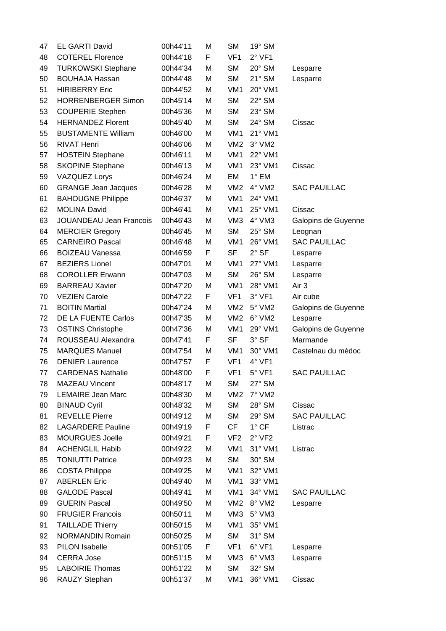| 47 | <b>EL GARTI David</b>          | 00h44'11 | Μ | <b>SM</b>       | 19° SM          |                     |
|----|--------------------------------|----------|---|-----------------|-----------------|---------------------|
| 48 | <b>COTEREL Florence</b>        | 00h44'18 | F | VF <sub>1</sub> | $2°$ VF1        |                     |
| 49 | <b>TURKOWSKI Stephane</b>      | 00h44'34 | Μ | <b>SM</b>       | $20^\circ$ SM   | Lesparre            |
| 50 | <b>BOUHAJA Hassan</b>          | 00h44'48 | Μ | <b>SM</b>       | $21^\circ$ SM   | Lesparre            |
| 51 | <b>HIRIBERRY Eric</b>          | 00h44'52 | Μ | VM <sub>1</sub> | 20° VM1         |                     |
| 52 | <b>HORRENBERGER Simon</b>      | 00h45'14 | Μ | <b>SM</b>       | $22^{\circ}$ SM |                     |
| 53 | <b>COUPERIE Stephen</b>        | 00h45'36 | Μ | <b>SM</b>       | $23^\circ$ SM   |                     |
| 54 | <b>HERNANDEZ Florent</b>       | 00h45'40 | Μ | <b>SM</b>       | 24° SM          | Cissac              |
| 55 | <b>BUSTAMENTE William</b>      | 00h46'00 | Μ | VM <sub>1</sub> | 21° VM1         |                     |
| 56 | <b>RIVAT Henri</b>             | 00h46'06 | Μ | VM2             | $3^\circ$ VM2   |                     |
| 57 | <b>HOSTEIN Stephane</b>        | 00h46'11 | Μ | VM <sub>1</sub> | 22° VM1         |                     |
| 58 | <b>SKOPINE Stephane</b>        | 00h46'13 | Μ | VM <sub>1</sub> | 23° VM1         | Cissac              |
| 59 | <b>VAZQUEZ Lorys</b>           | 00h46'24 | Μ | EM              | $1^\circ$ EM    |                     |
| 60 | <b>GRANGE Jean Jacques</b>     | 00h46'28 | Μ | VM2             | $4^\circ$ VM2   | <b>SAC PAUILLAC</b> |
| 61 | <b>BAHOUGNE Philippe</b>       | 00h46'37 | M | VM <sub>1</sub> | 24° VM1         |                     |
| 62 | <b>MOLINA David</b>            | 00h46'41 | Μ | VM <sub>1</sub> | 25° VM1         | Cissac              |
| 63 | <b>JOUANDEAU Jean Francois</b> | 00h46'43 | Μ | VM <sub>3</sub> | $4^\circ$ VM3   | Galopins de Guyenne |
| 64 | <b>MERCIER Gregory</b>         | 00h46'45 | Μ | <b>SM</b>       | $25^\circ$ SM   | Leognan             |
| 65 | <b>CARNEIRO Pascal</b>         | 00h46'48 | Μ | VM <sub>1</sub> | 26° VM1         | <b>SAC PAUILLAC</b> |
| 66 | <b>BOIZEAU Vanessa</b>         | 00h46'59 | F | <b>SF</b>       | $2°$ SF         | Lesparre            |
| 67 | <b>BEZIERS Lionel</b>          | 00h47'01 | Μ | VM1             | 27° VM1         | Lesparre            |
| 68 | <b>COROLLER Erwann</b>         | 00h47'03 | Μ | <b>SM</b>       | $26^\circ$ SM   | Lesparre            |
| 69 | <b>BARREAU Xavier</b>          | 00h47'20 | Μ | VM <sub>1</sub> | 28° VM1         | Air 3               |
| 70 | <b>VEZIEN Carole</b>           | 00h47'22 | F | VF <sub>1</sub> | $3°$ VF1        | Air cube            |
| 71 | <b>BOITIN Martial</b>          | 00h47'24 | Μ | VM2             | $5^\circ$ VM2   | Galopins de Guyenne |
| 72 | DE LA FUENTE Carlos            | 00h47'35 | Μ | VM2             | $6^{\circ}$ VM2 | Lesparre            |
| 73 | <b>OSTINS Christophe</b>       | 00h47'36 | Μ | VM <sub>1</sub> | 29° VM1         | Galopins de Guyenne |
| 74 | ROUSSEAU Alexandra             | 00h47'41 | F | SF              | $3°$ SF         | Marmande            |
| 75 | <b>MARQUES Manuel</b>          | 00h47'54 | M | VM <sub>1</sub> | 30° VM1         | Castelnau du médoc  |
| 76 | <b>DENIER Laurence</b>         | 00h47'57 | F | VF <sub>1</sub> | $4°$ VF1        |                     |
| 77 | <b>CARDENAS Nathalie</b>       | 00h48'00 | F | VF <sub>1</sub> | $5°$ VF1        | <b>SAC PAUILLAC</b> |
| 78 | <b>MAZEAU Vincent</b>          | 00h48'17 | Μ | <b>SM</b>       | $27^\circ$ SM   |                     |
| 79 | <b>LEMAIRE Jean Marc</b>       | 00h48'30 | Μ | VM <sub>2</sub> | 7° VM2          |                     |
| 80 | <b>BINAUD Cyril</b>            | 00h48'32 | М | <b>SM</b>       | $28^\circ$ SM   | Cissac              |
| 81 | <b>REVELLE Pierre</b>          | 00h49'12 | Μ | <b>SM</b>       | 29° SM          | <b>SAC PAUILLAC</b> |
| 82 | <b>LAGARDERE Pauline</b>       | 00h49'19 | F | <b>CF</b>       | $1^\circ$ CF    | Listrac             |
| 83 | <b>MOURGUES Joelle</b>         | 00h49'21 | F | VF <sub>2</sub> | $2°$ VF2        |                     |
| 84 | <b>ACHENGLIL Habib</b>         | 00h49'22 | Μ | VM <sub>1</sub> | 31° VM1         | Listrac             |
| 85 | <b>TONIUTTI Patrice</b>        | 00h49'23 | M | <b>SM</b>       | $30^\circ$ SM   |                     |
| 86 | <b>COSTA Philippe</b>          | 00h49'25 | Μ | VM <sub>1</sub> | 32° VM1         |                     |
| 87 | <b>ABERLEN Eric</b>            | 00h49'40 | М | VM <sub>1</sub> | 33° VM1         |                     |
| 88 | <b>GALODE Pascal</b>           | 00h49'41 | М | VM <sub>1</sub> | 34° VM1         | <b>SAC PAUILLAC</b> |
| 89 | <b>GUERIN Pascal</b>           | 00h49'50 | Μ | VM2             | 8° VM2          | Lesparre            |
| 90 | <b>FRUGIER Francois</b>        | 00h50'11 | Μ | VM <sub>3</sub> | 5° VM3          |                     |
| 91 | <b>TAILLADE Thierry</b>        | 00h50'15 | Μ | VM <sub>1</sub> | 35° VM1         |                     |
| 92 | <b>NORMANDIN Romain</b>        | 00h50'25 | M | <b>SM</b>       | $31^\circ$ SM   |                     |
| 93 | PILON Isabelle                 | 00h51'05 | F | VF <sub>1</sub> | $6°$ VF1        | Lesparre            |
| 94 | <b>CERRA Jose</b>              | 00h51'15 | Μ | VM3             | 6° VM3          | Lesparre            |
| 95 | <b>LABOIRIE Thomas</b>         | 00h51'22 | Μ | SM              | $32^\circ$ SM   |                     |
| 96 | RAUZY Stephan                  | 00h51'37 | М | VM1             | 36° VM1         | Cissac              |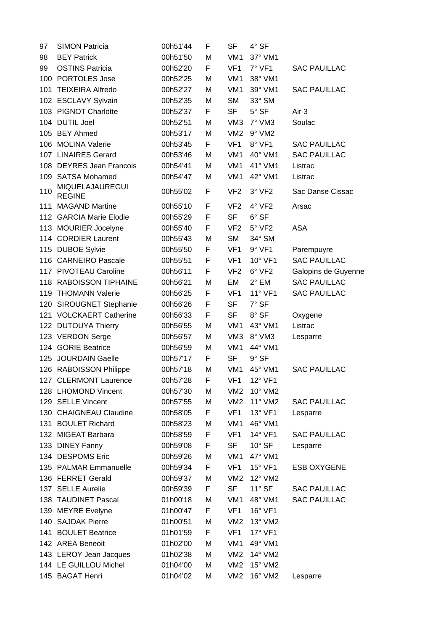| 97  | <b>SIMON Patricia</b>            | 00h51'44 | F | <b>SF</b>       | 4° SF            |                     |
|-----|----------------------------------|----------|---|-----------------|------------------|---------------------|
| 98  | <b>BEY Patrick</b>               | 00h51'50 | M | VM <sub>1</sub> | 37° VM1          |                     |
| 99  | <b>OSTINS Patricia</b>           | 00h52'20 | F | VF <sub>1</sub> | $7°$ VF1         | <b>SAC PAUILLAC</b> |
|     | 100 PORTOLES Jose                | 00h52'25 | M | VM <sub>1</sub> | 38° VM1          |                     |
| 101 | <b>TEIXEIRA Alfredo</b>          | 00h52'27 | M | VM <sub>1</sub> | 39° VM1          | <b>SAC PAUILLAC</b> |
|     | 102 ESCLAVY Sylvain              | 00h52'35 | M | <b>SM</b>       | 33° SM           |                     |
|     | 103 PIGNOT Charlotte             | 00h52'37 | F | <b>SF</b>       | $5^\circ$ SF     | Air 3               |
|     | 104 DUTIL Joel                   | 00h52'51 | M | VM <sub>3</sub> | $7°$ VM3         | Soulac              |
|     | 105 BEY Ahmed                    | 00h53'17 | M | VM <sub>2</sub> | 9° VM2           |                     |
|     | 106 MOLINA Valerie               | 00h53'45 | F | VF <sub>1</sub> | $8^\circ$ VF1    | <b>SAC PAUILLAC</b> |
|     | 107 LINAIRES Gerard              | 00h53'46 | М | VM <sub>1</sub> | 40° VM1          | <b>SAC PAUILLAC</b> |
|     | 108 DEYRES Jean Francois         | 00h54'41 | М | VM <sub>1</sub> | 41° VM1          | Listrac             |
|     | 109 SATSA Mohamed                | 00h54'47 | M | VM <sub>1</sub> | $42^{\circ}$ VM1 | Listrac             |
| 110 | MIQUELAJAUREGUI<br><b>REGINE</b> | 00h55'02 | F | VF <sub>2</sub> | $3°$ VF2         | Sac Danse Cissac    |
|     | 111 MAGAND Martine               | 00h55'10 | F | VF <sub>2</sub> | $4^{\circ}$ VF2  | Arsac               |
|     | 112 GARCIA Marie Elodie          | 00h55'29 | F | <b>SF</b>       | $6^{\circ}$ SF   |                     |
|     | 113 MOURIER Jocelyne             | 00h55'40 | F | VF <sub>2</sub> | $5^\circ$ VF2    | <b>ASA</b>          |
|     | 114 CORDIER Laurent              | 00h55'43 | M | <b>SM</b>       | 34° SM           |                     |
|     | 115 DUBOE Sylvie                 | 00h55'50 | F | VF <sub>1</sub> | $9°$ VF1         | Parempuyre          |
|     | 116 CARNEIRO Pascale             | 00h55'51 | F | VF <sub>1</sub> | 10° VF1          | <b>SAC PAUILLAC</b> |
|     | 117 PIVOTEAU Caroline            | 00h56'11 | F | VF <sub>2</sub> | $6°$ VF2         | Galopins de Guyenne |
|     | 118 RABOISSON TIPHAINE           | 00h56'21 | M | EM              | $2^{\circ}$ EM   | <b>SAC PAUILLAC</b> |
|     | 119 THOMANN Valerie              | 00h56'25 | F | VF <sub>1</sub> | $11^{\circ}$ VF1 | <b>SAC PAUILLAC</b> |
|     | 120 SIROUGNET Stephanie          | 00h56'26 | F | <b>SF</b>       | $7°$ SF          |                     |
| 121 | <b>VOLCKAERT Catherine</b>       | 00h56'33 | F | <b>SF</b>       | 8° SF            | Oxygene             |
|     | 122 DUTOUYA Thierry              | 00h56'55 | M | VM <sub>1</sub> | 43° VM1          | Listrac             |
|     | 123 VERDON Serge                 | 00h56'57 | М | VM <sub>3</sub> | 8° VM3           | Lesparre            |
|     | 124 GORIE Beatrice               | 00h56'59 | M | VM <sub>1</sub> | 44° VM1          |                     |
|     | 125 JOURDAIN Gaelle              | 00h57'17 | F | <b>SF</b>       | $9°$ SF          |                     |
|     | 126 RABOISSON Philippe           | 00h57'18 | M | VM <sub>1</sub> | 45° VM1          | <b>SAC PAUILLAC</b> |
|     | 127 CLERMONT Laurence            | 00h57'28 | F | VF <sub>1</sub> | 12° VF1          |                     |
|     | 128 LHOMOND Vincent              | 00h57'30 | М | VM <sub>2</sub> | 10° VM2          |                     |
|     | 129 SELLE Vincent                | 00h57'55 | M | VM <sub>2</sub> | 11° VM2          | <b>SAC PAUILLAC</b> |
|     | 130 CHAIGNEAU Claudine           | 00h58'05 | F | VF <sub>1</sub> | 13° VF1          | Lesparre            |
|     | 131 BOULET Richard               | 00h58'23 | M | VM <sub>1</sub> | 46° VM1          |                     |
|     | 132 MIGEAT Barbara               | 00h58'59 | F | VF <sub>1</sub> | 14° VF1          | <b>SAC PAUILLAC</b> |
|     | 133 DINEY Fanny                  | 00h59'08 | F | SF              | $10^{\circ}$ SF  | Lesparre            |
|     | 134 DESPOMS Eric                 | 00h59'26 | M | VM <sub>1</sub> | 47° VM1          |                     |
|     | 135 PALMAR Emmanuelle            | 00h59'34 | F | VF <sub>1</sub> | $15^{\circ}$ VF1 | <b>ESB OXYGENE</b>  |
|     | 136 FERRET Gerald                | 00h59'37 | M | VM <sub>2</sub> | $12^{\circ}$ VM2 |                     |
|     | 137 SELLE Aurelie                | 00h59'39 | F | <b>SF</b>       | $11^{\circ}$ SF  | <b>SAC PAUILLAC</b> |
|     | 138 TAUDINET Pascal              | 01h00'18 | M | VM <sub>1</sub> | 48° VM1          | <b>SAC PAUILLAC</b> |
|     | 139 MEYRE Evelyne                | 01h00'47 | F | VF <sub>1</sub> | 16° VF1          |                     |
|     | 140 SAJDAK Pierre                | 01h00'51 | М | VM <sub>2</sub> | 13° VM2          |                     |
|     | 141 BOULET Beatrice              | 01h01'59 | F | VF <sub>1</sub> | 17° VF1          |                     |
|     | 142 AREA Beneoit                 | 01h02'00 | М | VM <sub>1</sub> | 49° VM1          |                     |
|     | 143 LEROY Jean Jacques           | 01h02'38 | Μ | VM <sub>2</sub> | 14° VM2          |                     |
|     | 144 LE GUILLOU Michel            | 01h04'00 | Μ | VM <sub>2</sub> | 15° VM2          |                     |
|     | 145 BAGAT Henri                  | 01h04'02 | Μ | VM <sub>2</sub> | 16° VM2          | Lesparre            |
|     |                                  |          |   |                 |                  |                     |